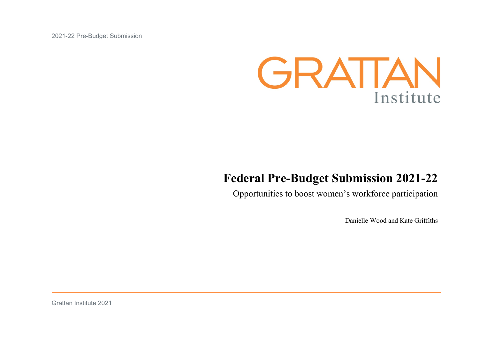

# **Federal Pre-Budget Submission 2021-22**

Opportunities to boost women's workforce participation

Danielle Wood and Kate Griffiths

Grattan Institute 2021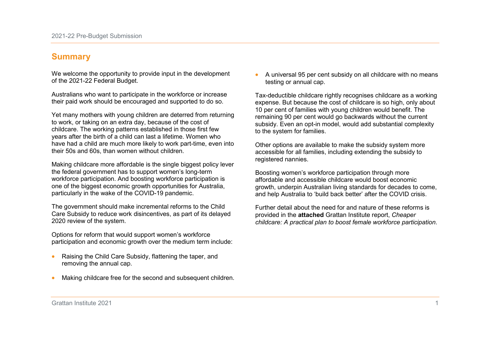## **Summary**

We welcome the opportunity to provide input in the development of the 2021-22 Federal Budget.

Australians who want to participate in the workforce or increase their paid work should be encouraged and supported to do so.

Yet many mothers with young children are deterred from returning to work, or taking on an extra day, because of the cost of childcare. The working patterns established in those first few years after the birth of a child can last a lifetime. Women who have had a child are much more likely to work part-time, even into their 50s and 60s, than women without children.

Making childcare more affordable is the single biggest policy lever the federal government has to support women's long-term workforce participation. And boosting workforce participation is one of the biggest economic growth opportunities for Australia, particularly in the wake of the COVID-19 pandemic.

The government should make incremental reforms to the Child Care Subsidy to reduce work disincentives, as part of its delayed 2020 review of the system.

Options for reform that would support women's workforce participation and economic growth over the medium term include:

- Raising the Child Care Subsidy, flattening the taper, and removing the annual cap.
- Making childcare free for the second and subsequent children.

• A universal 95 per cent subsidy on all childcare with no means testing or annual cap.

Tax-deductible childcare rightly recognises childcare as a working expense. But because the cost of childcare is so high, only about 10 per cent of families with young children would benefit. The remaining 90 per cent would go backwards without the current subsidy. Even an opt-in model, would add substantial complexity to the system for families.

Other options are available to make the subsidy system more accessible for all families, including extending the subsidy to registered nannies.

Boosting women's workforce participation through more affordable and accessible childcare would boost economic growth, underpin Australian living standards for decades to come, and help Australia to 'build back better' after the COVID crisis.

Further detail about the need for and nature of these reforms is provided in the **attached** Grattan Institute report, *Cheaper childcare: A practical plan to boost female workforce participation*.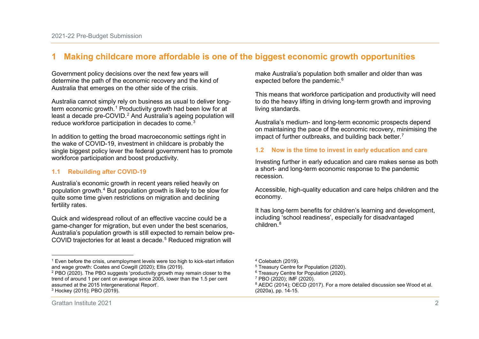# **1 Making childcare more affordable is one of the biggest economic growth opportunities**

Government policy decisions over the next few years will determine the path of the economic recovery and the kind of Australia that emerges on the other side of the crisis.

Australia cannot simply rely on business as usual to deliver longterm economic growth. [1](#page-2-0) Productivity growth had been low for at least a decade pre-COVID.<sup>[2](#page-2-1)</sup> And Australia's ageing population will reduce workforce participation in decades to come. [3](#page-2-2)

In addition to getting the broad macroeconomic settings right in the wake of COVID-19, investment in childcare is probably the single biggest policy lever the federal government has to promote workforce participation and boost productivity.

### **1.1 Rebuilding after COVID-19**

Australia's economic growth in recent years relied heavily on population growth.[4](#page-2-0) But population growth is likely to be slow for quite some time given restrictions on migration and declining fertility rates.

Quick and widespread rollout of an effective vaccine could be a game-changer for migration, but even under the best scenarios, Australia's population growth is still expected to remain below pre-COVID trajectories for at least a decade.<sup>[5](#page-2-3)</sup> Reduced migration will

<span id="page-2-5"></span><span id="page-2-4"></span><span id="page-2-3"></span><span id="page-2-2"></span><span id="page-2-1"></span><span id="page-2-0"></span>make Australia's population both smaller and older than was expected before the pandemic.<sup>[6](#page-2-1)</sup>

This means that workforce participation and productivity will need to do the heavy lifting in driving long-term growth and improving living standards.

Australia's medium- and long-term economic prospects depend on maintaining the pace of the economic recovery, minimising the impact of further outbreaks, and building back better.<sup>[7](#page-2-4)</sup>

### **1.2 Now is the time to invest in early education and care**

Investing further in early education and care makes sense as both a short- and long-term economic response to the pandemic recession.

Accessible, high-quality education and care helps children and the economy.

It has long-term benefits for children's learning and development, including 'school readiness', especially for disadvantaged children.[8](#page-2-5)

-

<sup>1</sup> Even before the crisis, unemployment levels were too high to kick-start inflation and wage growth: Coates and Cowgill (2020); Ellis (2019).

<sup>2</sup> PBO (2020). The PBO suggests 'productivity growth may remain closer to the trend of around 1 per cent on average since 2005, lower than the 1.5 per cent assumed at the 2015 Intergenerational Report'.

<sup>3</sup> Hockey (2015); PBO (2019).

<sup>4</sup> Colebatch (2019).

<sup>&</sup>lt;sup>5</sup> Treasury Centre for Population (2020).

 $6$  Treasury Centre for Population (2020).

<sup>7</sup> PBO (2020); IMF (2020).

<sup>&</sup>lt;sup>8</sup> AEDC (2014); OECD (2017). For a more detailed discussion see Wood et al. (2020a), pp. 14-15.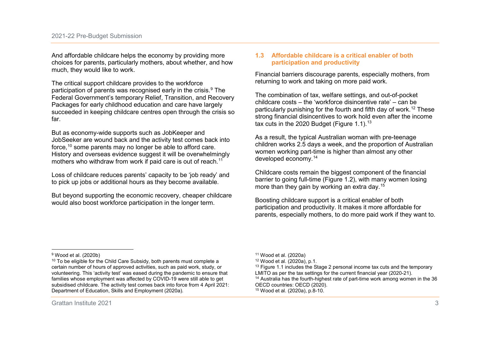And affordable childcare helps the economy by providing more choices for parents, particularly mothers, about whether, and how much, they would like to work.

The critical support childcare provides to the workforce participation of parents was recognised early in the crisis.<sup>[9](#page-3-0)</sup> The Federal Government's temporary Relief, Transition, and Recovery Packages for early childhood education and care have largely succeeded in keeping childcare centres open through the crisis so far.

But as economy-wide supports such as JobKeeper and JobSeeker are wound back and the activity test comes back into force,[10](#page-3-1) some parents may no longer be able to afford care. History and overseas evidence suggest it will be overwhelmingly mothers who withdraw from work if paid care is out of reach.<sup>[11](#page-3-0)</sup>

Loss of childcare reduces parents' capacity to be 'job ready' and to pick up jobs or additional hours as they become available.

But beyond supporting the economic recovery, cheaper childcare would also boost workforce participation in the longer term.

### <span id="page-3-4"></span><span id="page-3-3"></span><span id="page-3-2"></span><span id="page-3-1"></span><span id="page-3-0"></span>**1.3 Affordable childcare is a critical enabler of both participation and productivity**

Financial barriers discourage parents, especially mothers, from returning to work and taking on more paid work.

The combination of tax, welfare settings, and out-of-pocket childcare costs – the 'workforce disincentive rate' – can be particularly punishing for the fourth and fifth day of work. [12](#page-3-1) These strong financial disincentives to work hold even after the income tax cuts in the 2020 Budget (Figure 1.1).<sup>[13](#page-3-2)</sup>

As a result, the typical Australian woman with pre-teenage children works 2.5 days a week, and the proportion of Australian women working part-time is higher than almost any other developed economy.[14](#page-3-3)

Childcare costs remain the biggest component of the financial barrier to going full-time (Figure 1.2), with many women losing more than they gain by working an extra day.<sup>[15](#page-3-4)</sup>

Boosting childcare support is a critical enabler of both participation and productivity. It makes it more affordable for parents, especially mothers, to do more paid work if they want to.

<sup>11</sup> Wood et al. (2020a)

<sup>-</sup><sup>9</sup> Wood et al. (2020b)

 $10$  To be eligible for the Child Care Subsidy, both parents must complete a certain number of hours of approved activities, such as paid work, study, or volunteering. This 'activity test' was eased during the pandemic to ensure that families whose employment was affected by COVID-19 were still able to get subsidised childcare. The activity test comes back into force from 4 April 2021: Department of Education, Skills and Employment (2020a).

<sup>12</sup> Wood et al. (2020a), p.1.

 $13$  Figure 1.1 includes the Stage 2 personal income tax cuts and the temporary LMITO as per the tax settings for the current financial year (2020-21).

<sup>&</sup>lt;sup>14</sup> Australia has the fourth-highest rate of part-time work among women in the 36 OECD countries: OECD (2020).

<sup>15</sup> Wood et al. (2020a), p.8-10.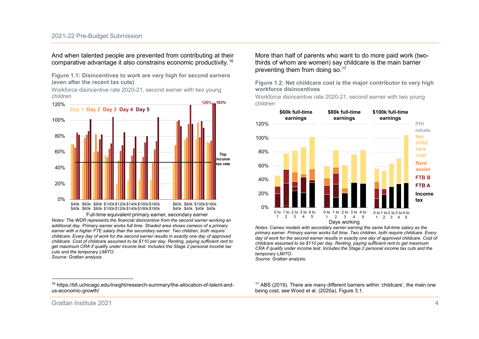And when talented people are prevented from contributing at their comparative advantage it also constrains economic productivity. [16](#page-4-0)

**Figure 1.1: Disincentives to work are very high for second earners (even after the recent tax cuts)**

Workforce disincentive rate 2020-21, second earner with two young children



*Notes: The WDR represents the financial disincentive from the second earner working an additional day. Primary earner works full time. Shaded area shows cameos of a primary earner with a higher FTE salary than the secondary earner. Two children, both require childcare. Every day of work for the second earner results in exactly one day of approved childcare. Cost of childcare assumed to be \$110 per day. Renting, paying sufficient rent to get maximum CRA if qualify under income test. Includes the Stage 2 personal income tax cuts and the temporary LMITO.*

*Source: Grattan analysis.*

-

<sup>16</sup> https://bfi.uchicago.edu/insight/research-summary/the-allocation-of-talent-andus-economic-growth/

<span id="page-4-0"></span>More than half of parents who want to do more paid work (twothirds of whom are women) say childcare is the main barrier preventing them from doing so.[17](#page-4-0)

**Figure 1.2: Net childcare cost is the major contributor to very high workforce disincentives**

Workforce disincentive rate 2020-21, second earner with two young children



*Notes: Cameo models with secondary earner earning the same full-time salary as the primary earner. Primary earner works full time. Two children, both require childcare. Every day of work for the second earner results in exactly one day of approved childcare. Cost of childcare assumed to be \$110 per day. Renting, paying sufficient rent to get maximum CRA if qualify under income test. Includes the Stage 2 personal income tax cuts and the temporary LMITO.* 

*Source: Grattan analysis.*

<sup>17</sup> ABS (2019). There are many different barriers within 'childcare', the main one being cost, see Wood et al. (2020a), Figure 3.1.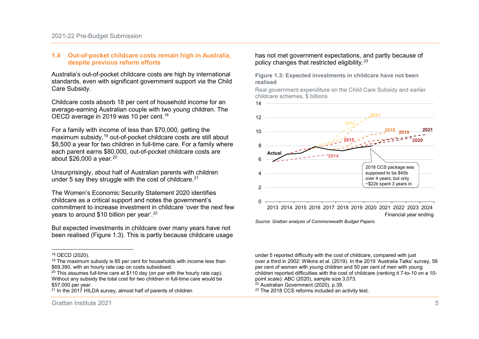#### **1.4 Out-of-pocket childcare costs remain high in Australia, despite previous reform efforts**

Australia's out-of-pocket childcare costs are high by international standards, even with significant government support via the Child Care Subsidy.

Childcare costs absorb 18 per cent of household income for an average-earning Australian couple with two young children. The OECD average in 2019 was 10 per cent.<sup>[18](#page-5-0)</sup>

For a family with income of less than \$70,000, getting the maximum subsidy,[19](#page-5-1) out-of-pocket childcare costs are still about \$8,500 a year for two children in full-time care. For a family where each parent earns \$80,000, out-of-pocket childcare costs are about  $$26,000$  a year.  $^{20}$  $^{20}$  $^{20}$ 

Unsurprisingly, about half of Australian parents with children under 5 say they struggle with the cost of childcare.<sup>[21](#page-5-3)</sup>

The Women's Economic Security Statement 2020 identifies childcare as a critical support and notes the government's commitment to increase investment in childcare 'over the next few years to around \$10 billion per year'. [22](#page-5-4)

But expected investments in childcare over many years have not been realised (Figure 1.3). This is partly because childcare usage

#### <span id="page-5-4"></span><span id="page-5-3"></span><span id="page-5-2"></span><span id="page-5-1"></span><span id="page-5-0"></span>has not met government expectations, and partly because of policy changes that restricted eligibility.[23](#page-5-3)

**Figure 1.3: Expected investments in childcare have not been realised**

Real government expenditure on the Child Care Subsidy and earlier childcare schemes, \$ billions



*Source: Grattan analysis of Commonwealth Budget Papers.*

under 5 reported difficulty with the cost of childcare, compared with just over a third in 2002: Wilkins et al. (2019). In the 2019 'Australia Talks' survey, 56 per cent of women with young children and 50 per cent of men with young children reported difficulties with the cost of childcare (ranking it 7-to-10 on a 10 point scale): ABC (2020), sample size 3,073.

<sup>22</sup> Australian Government (2020), p.39.

14

<sup>23</sup> The 2018 CCS reforms included an activity test.

<sup>-</sup><sup>18</sup> OECD (2020).

 $19$  The maximum subsidy is 85 per cent for households with income less than \$69,390, with an hourly rate cap on costs subsidised.

 $20$  This assumes full-time care at \$110 day (on par with the hourly rate cap). Without any subsidy the total cost for two children in full-time care would be \$57,000 per year.

 $21$  In the 2017 HILDA survey, almost half of parents of children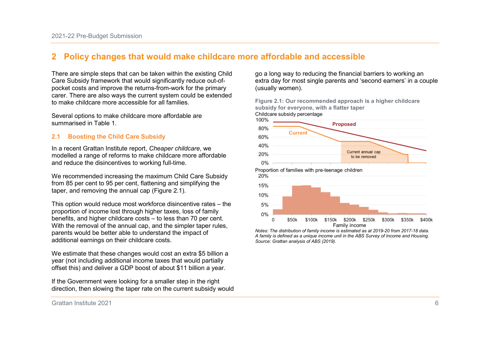# **2 Policy changes that would make childcare more affordable and accessible**

There are simple steps that can be taken within the existing Child Care Subsidy framework that would significantly reduce out-ofpocket costs and improve the returns-from-work for the primary carer. There are also ways the current system could be extended to make childcare more accessible for all families.

Several options to make childcare more affordable are summarised in Table 1.

### **2.1 Boosting the Child Care Subsidy**

In a recent Grattan Institute report, *Cheaper childcare*, we modelled a range of reforms to make childcare more affordable and reduce the disincentives to working full-time.

We recommended increasing the maximum Child Care Subsidy from 85 per cent to 95 per cent, flattening and simplifying the taper, and removing the annual cap (Figure 2.1).

This option would reduce most workforce disincentive rates – the proportion of income lost through higher taxes, loss of family benefits, and higher childcare costs – to less than 70 per cent. With the removal of the annual cap, and the simpler taper rules, parents would be better able to understand the impact of additional earnings on their childcare costs.

We estimate that these changes would cost an extra \$5 billion a year (not including additional income taxes that would partially offset this) and deliver a GDP boost of about \$11 billion a year.

If the Government were looking for a smaller step in the right direction, then slowing the taper rate on the current subsidy would go a long way to reducing the financial barriers to working an extra day for most single parents and 'second earners' in a couple (usually women).

**Figure 2.1: Our recommended approach is a higher childcare subsidy for everyone, with a flatter taper**



*Notes: The distribution of family income is estimated as at 2019-20 from 2017-18 data. A family is defined as a unique income unit in the ABS Survey of Income and Housing. Source: Grattan analysis of ABS (2019).*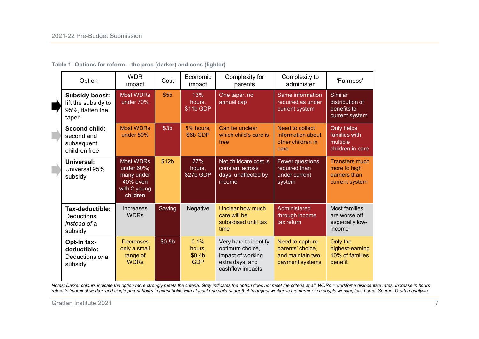| Option                                                                    | <b>WDR</b><br>impact                                                                     | Cost               | Economic<br>impact                                 | Complexity for<br>parents                                                                            | Complexity to<br>administer                                                | 'Fairness'                                                              |
|---------------------------------------------------------------------------|------------------------------------------------------------------------------------------|--------------------|----------------------------------------------------|------------------------------------------------------------------------------------------------------|----------------------------------------------------------------------------|-------------------------------------------------------------------------|
| <b>Subsidy boost:</b><br>lift the subsidy to<br>95%, flatten the<br>taper | <b>Most WDRs</b><br>under 70%                                                            | \$5 <sub>b</sub>   | 13%<br>hours,<br>\$11b GDP                         | One taper, no<br>annual cap                                                                          | Same information<br>required as under<br>current system                    | Similar<br>distribution of<br>benefits to<br>current system             |
| <b>Second child:</b><br>second and<br>subsequent<br>children free         | <b>Most WDRs</b><br>under 80%                                                            | \$3 <sub>b</sub>   | 5% hours,<br>\$6b GDP                              | Can be unclear<br>which child's care is<br>free                                                      | Need to collect<br>information about<br>other children in<br>care          | Only helps<br>families with<br>multiple<br>children in care             |
| Universal:<br>Universal 95%<br>subsidy                                    | <b>Most WDRs</b><br>under $60\%$ ;<br>many under<br>40% even<br>with 2 young<br>children | \$12b              | 27%<br>hours,<br>\$27b GDP                         | Net childcare cost is<br>constant across<br>days, unaffected by<br>income                            | Fewer questions<br>required than<br>under current<br>system                | <b>Transfers much</b><br>more to high<br>earners than<br>current system |
| Tax-deductible:<br><b>Deductions</b><br>instead of a<br>subsidy           | <b>Increases</b><br><b>WDRs</b>                                                          | Saving             | Negative                                           | Unclear how much<br>care will be<br>subsidised until tax<br>time                                     | Administered<br>through income<br>tax return                               | <b>Most families</b><br>are worse off,<br>especially low-<br>income     |
| Opt-in tax-<br>deductible:<br>Deductions or a<br>subsidy                  | <b>Decreases</b><br>only a small<br>range of<br><b>WDRs</b>                              | \$0.5 <sub>b</sub> | 0.1%<br>hours,<br>\$0.4 <sub>b</sub><br><b>GDP</b> | Very hard to identify<br>optimum choice,<br>impact of working<br>extra days, and<br>cashflow impacts | Need to capture<br>parents' choice,<br>and maintain two<br>payment systems | Only the<br>highest-earning<br>10% of families<br>benefit               |

**Table 1: Options for reform – the pros (darker) and cons (lighter)**

*Notes: Darker colours indicate the option more strongly meets the criteria. Grey indicates the option does not meet the criteria at all. WDRs = workforce disincentive rates. Increase in hours refers to 'marginal worker' and single-parent hours in households with at least one child under 6. A 'marginal worker' is the partner in a couple working less hours. Source: Grattan analysis.*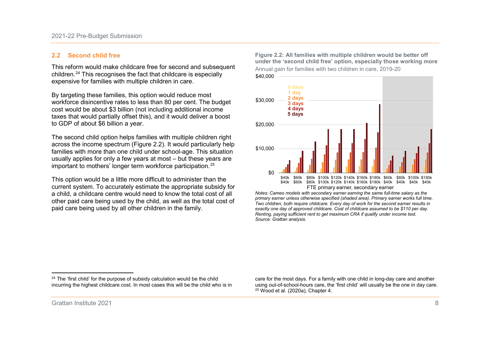### **2.2 Second child free**

This reform would make childcare free for second and subsequent children.[24](#page-8-0) This recognises the fact that childcare is especially expensive for families with multiple children in care.

By targeting these families, this option would reduce most workforce disincentive rates to less than 80 per cent. The budget cost would be about \$3 billion (not including additional income taxes that would partially offset this), and it would deliver a boost to GDP of about \$6 billion a year.

The second child option helps families with multiple children right across the income spectrum (Figure 2.2). It would particularly help families with more than one child under school-age. This situation usually applies for only a few years at most – but these years are important to mothers' longer term workforce participation.[25](#page-8-1)

This option would be a little more difficult to administer than the current system. To accurately estimate the appropriate subsidy for a child, a childcare centre would need to know the total cost of all other paid care being used by the child, as well as the total cost of paid care being used by all other children in the family.

<span id="page-8-1"></span><span id="page-8-0"></span>**Figure 2.2: All families with multiple children would be better off under the 'second child free' option, especially those working more** Annual gain for families with two children in care, 2019-20 \$40,000



*Notes: Cameo models with secondary earner earning the same full-time salary as the primary earner unless otherwise specified (shaded area). Primary earner works full time. Two children, both require childcare. Every day of work for the second earner results in exactly one day of approved childcare. Cost of childcare assumed to be \$110 per day. Renting, paying sufficient rent to get maximum CRA if qualify under income test. Source: Grattan analysis.*

care for the most days. For a family with one child in long-day care and another using out-of-school-hours care, the 'first child' will usually be the one in day care.  $25$  Wood et al. (2020a), Chapter 4.

<u>.</u>

<sup>&</sup>lt;sup>24</sup> The 'first child' for the purpose of subsidy calculation would be the child incurring the highest childcare cost. In most cases this will be the child who is in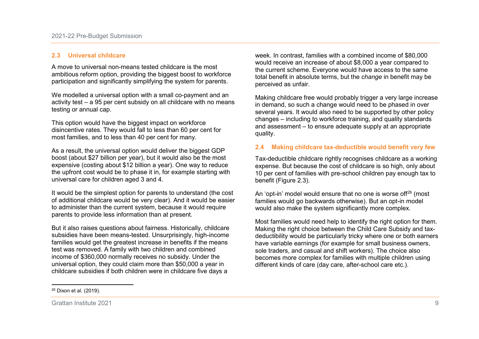#### **2.3 Universal childcare**

A move to universal non-means tested childcare is the most ambitious reform option, providing the biggest boost to workforce participation and significantly simplifying the system for parents.

We modelled a universal option with a small co-payment and an activity test – a 95 per cent subsidy on all childcare with no means testing or annual cap.

This option would have the biggest impact on workforce disincentive rates. They would fall to less than 60 per cent for most families, and to less than 40 per cent for many.

As a result, the universal option would deliver the biggest GDP boost (about \$27 billion per year), but it would also be the most expensive (costing about \$12 billion a year). One way to reduce the upfront cost would be to phase it in, for example starting with universal care for children aged 3 and 4.

It would be the simplest option for parents to understand (the cost of additional childcare would be very clear). And it would be easier to administer than the current system, because it would require parents to provide less information than at present.

But it also raises questions about fairness. Historically, childcare subsidies have been means-tested. Unsurprisingly, high-income families would get the greatest increase in benefits if the means test was removed. A family with two children and combined income of \$360,000 normally receives no subsidy. Under the universal option, they could claim more than \$50,000 a year in childcare subsidies if both children were in childcare five days a

<span id="page-9-0"></span>week. In contrast, families with a combined income of \$80,000 would receive an increase of about \$8,000 a year compared to the current scheme. Everyone would have access to the same total benefit in absolute terms, but the *change* in benefit may be perceived as unfair.

Making childcare free would probably trigger a very large increase in demand, so such a change would need to be phased in over several years. It would also need to be supported by other policy changes – including to workforce training, and quality standards and assessment – to ensure adequate supply at an appropriate quality.

### **2.4 Making childcare tax-deductible would benefit very few**

Tax-deductible childcare rightly recognises childcare as a working expense. But because the cost of childcare is so high, only about 10 per cent of families with pre-school children pay enough tax to benefit (Figure 2.3).

An 'opt-in' model would ensure that no one is worse of <sup>[26](#page-9-0)</sup> (most families would go backwards otherwise). But an opt-in model would also make the system significantly more complex.

Most families would need help to identify the right option for them. Making the right choice between the Child Care Subsidy and taxdeductibility would be particularly tricky where one or both earners have variable earnings (for example for small business owners, sole traders, and casual and shift workers). The choice also becomes more complex for families with multiple children using different kinds of care (day care, after-school care etc.).

<sup>-</sup><sup>26</sup> Dixon et al. (2019).

Grattan Institute 2021 9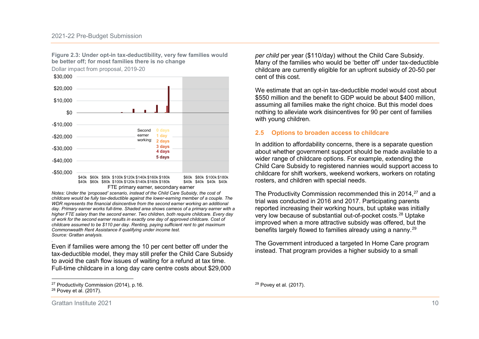**Figure 2.3: Under opt-in tax-deductibility, very few families would be better off; for most families there is no change**

Dollar impact from proposal, 2019-20



*Notes: Under the 'proposed' scenario, instead of the Child Care Subsidy, the cost of childcare would be fully tax-deductible against the lower-earning member of a couple. The WDR represents the financial disincentive from the second earner working an additional day. Primary earner works full-time. Shaded area shows cameos of a primary earner with a higher FTE salary than the second earner. Two children, both require childcare. Every day of work for the second earner results in exactly one day of approved childcare. Cost of childcare assumed to be \$110 per day. Renting, paying sufficient rent to get maximum Commonwealth Rent Assistance if qualifying under income test. Source: Grattan analysis.*

Even if families were among the 10 per cent better off under the tax-deductible model, they may still prefer the Child Care Subsidy to avoid the cash flow issues of waiting for a refund at tax time. Full-time childcare in a long day care centre costs about \$29,000

*.* 

<span id="page-10-1"></span><span id="page-10-0"></span>*per child* per year (\$110/day) without the Child Care Subsidy. Many of the families who would be 'better off' under tax-deductible childcare are currently eligible for an upfront subsidy of 20-50 per cent of this cost.

We estimate that an opt-in tax-deductible model would cost about \$550 million and the benefit to GDP would be about \$400 million, assuming all families make the right choice. But this model does nothing to alleviate work disincentives for 90 per cent of families with young children.

#### **2.5 Options to broaden access to childcare**

In addition to affordability concerns, there is a separate question about whether government support should be made available to a wider range of childcare options. For example, extending the Child Care Subsidy to registered nannies would support access to childcare for shift workers, weekend workers, workers on rotating rosters, and children with special needs.

The Productivity Commission recommended this in 2014, <sup>[27](#page-10-0)</sup> and a trial was conducted in 2016 and 2017. Participating parents reported increasing their working hours, but uptake was initially very low because of substantial out-of-pocket costs. [28](#page-10-1) Uptake improved when a more attractive subsidy was offered, but the benefits largely flowed to families already using a nanny. [29](#page-10-0)

The Government introduced a targeted In Home Care program instead. That program provides a higher subsidy to a small

<sup>-</sup>27 Productivity Commission (2014), p.16.

<sup>28</sup> Povey et al. (2017).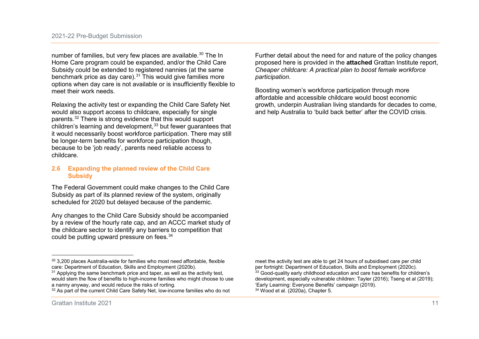number of families, but very few places are available.<sup>[30](#page-11-0)</sup> The In Home Care program could be expanded, and/or the Child Care Subsidy could be extended to registered nannies (at the same benchmark price as day care).<sup>[31](#page-11-1)</sup> This would give families more options when day care is not available or is insufficiently flexible to meet their work needs.

Relaxing the activity test or expanding the Child Care Safety Net would also support access to childcare, especially for single parents.[32](#page-11-2) There is strong evidence that this would support children's learning and development,<sup>[33](#page-11-1)</sup> but fewer quarantees that it would necessarily boost workforce participation. There may still be longer-term benefits for workforce participation though, because to be 'job ready', parents need reliable access to childcare.

### **2.6 Expanding the planned review of the Child Care Subsidy**

The Federal Government could make changes to the Child Care Subsidy as part of its planned review of the system, originally scheduled for 2020 but delayed because of the pandemic.

Any changes to the Child Care Subsidy should be accompanied by a review of the hourly rate cap, and an ACCC market study of the childcare sector to identify any barriers to competition that could be putting upward pressure on fees.<sup>[34](#page-11-2)</sup>

<span id="page-11-2"></span><span id="page-11-1"></span><span id="page-11-0"></span>Further detail about the need for and nature of the policy changes proposed here is provided in the **attached** Grattan Institute report, *Cheaper childcare: A practical plan to boost female workforce participation*.

Boosting women's workforce participation through more affordable and accessible childcare would boost economic growth, underpin Australian living standards for decades to come, and help Australia to 'build back better' after the COVID crisis.

meet the activity test are able to get 24 hours of subsidised care per child per fortnight: Department of Education, Skills and Employment (2020c). <sup>33</sup> Good-quality early childhood education and care has benefits for children's development, especially vulnerable children: Tayler (2016); Tseng et al (2019); 'Early Learning: Everyone Benefits' campaign (2019).<br><sup>34</sup> Wood et al. (2020a), Chapter 5.

<sup>-</sup> $30$  3,200 places Australia-wide for families who most need affordable, flexible care: Department of Education, Skills and Employment (2020b).

 $31$  Applying the same benchmark price and taper, as well as the activity test, would stem the flow of benefits to high-income families who might choose to use a nanny anyway, and would reduce the risks of rorting.

<sup>&</sup>lt;sup>32</sup> As part of the current Child Care Safety Net, low-income families who do not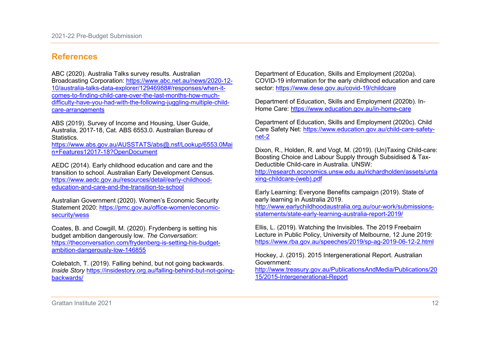# **References**

ABC (2020). Australia Talks survey results. Australian Broadcasting Corporation: [https://www.abc.net.au/news/2020-12-](https://www.abc.net.au/news/2020-12-10/australia-talks-data-explorer/12946988#/responses/when-it-comes-to-finding-child-care-over-the-last-months-how-much-difficulty-have-you-had-with-the-following-juggling-multiple-child-care-arrangements) [10/australia-talks-data-explorer/12946988#/responses/when-it](https://www.abc.net.au/news/2020-12-10/australia-talks-data-explorer/12946988#/responses/when-it-comes-to-finding-child-care-over-the-last-months-how-much-difficulty-have-you-had-with-the-following-juggling-multiple-child-care-arrangements)[comes-to-finding-child-care-over-the-last-months-how-much](https://www.abc.net.au/news/2020-12-10/australia-talks-data-explorer/12946988#/responses/when-it-comes-to-finding-child-care-over-the-last-months-how-much-difficulty-have-you-had-with-the-following-juggling-multiple-child-care-arrangements)[difficulty-have-you-had-with-the-following-juggling-multiple-child](https://www.abc.net.au/news/2020-12-10/australia-talks-data-explorer/12946988#/responses/when-it-comes-to-finding-child-care-over-the-last-months-how-much-difficulty-have-you-had-with-the-following-juggling-multiple-child-care-arrangements)[care-arrangements](https://www.abc.net.au/news/2020-12-10/australia-talks-data-explorer/12946988#/responses/when-it-comes-to-finding-child-care-over-the-last-months-how-much-difficulty-have-you-had-with-the-following-juggling-multiple-child-care-arrangements)

ABS (2019). Survey of Income and Housing, User Guide, Australia, 2017-18, Cat. ABS 6553.0. Australian Bureau of **Statistics** 

[https://www.abs.gov.au/AUSSTATS/abs@.nsf/Lookup/6553.0Mai](https://www.abs.gov.au/AUSSTATS/abs@.nsf/Lookup/6553.0Main+Features12017-18?OpenDocument) [n+Features12017-18?OpenDocument](https://www.abs.gov.au/AUSSTATS/abs@.nsf/Lookup/6553.0Main+Features12017-18?OpenDocument)

AEDC (2014). Early childhood education and care and the transition to school. Australian Early Development Census. [https://www.aedc.gov.au/resources/detail/early-childhood](https://www.aedc.gov.au/resources/detail/early-childhood-education-and-care-and-the-transition-to-school)[education-and-care-and-the-transition-to-school](https://www.aedc.gov.au/resources/detail/early-childhood-education-and-care-and-the-transition-to-school)

Australian Government (2020). Women's Economic Security Statement 2020: [https://pmc.gov.au/office-women/economic](https://pmc.gov.au/office-women/economic-security/wess)[security/wess](https://pmc.gov.au/office-women/economic-security/wess)

Coates, B. and Cowgill, M. (2020). Frydenberg is setting his budget ambition dangerously low. *The Conversation*: [https://theconversation.com/frydenberg-is-setting-his-budget](https://theconversation.com/frydenberg-is-setting-his-budget-ambition-dangerously-low-146855)[ambition-dangerously-low-146855](https://theconversation.com/frydenberg-is-setting-his-budget-ambition-dangerously-low-146855)

Colebatch, T. (2019). Falling behind, but not going backwards. *Inside Story* [https://insidestory.org.au/falling-behind-but-not-going](https://insidestory.org.au/falling-behind-but-not-going-backwards/)[backwards/](https://insidestory.org.au/falling-behind-but-not-going-backwards/)

Department of Education, Skills and Employment (2020a). COVID-19 information for the early childhood education and care sector:<https://www.dese.gov.au/covid-19/childcare>

Department of Education, Skills and Employment (2020b). In-Home Care:<https://www.education.gov.au/in-home-care>

Department of Education, Skills and Employment (2020c). Child Care Safety Net: [https://www.education.gov.au/child-care-safety](https://www.education.gov.au/child-care-safety-net-2)[net-2](https://www.education.gov.au/child-care-safety-net-2)

Dixon, R., Holden, R. and Vogt, M. (2019). (Un)Taxing Child-care: Boosting Choice and Labour Supply through Subsidised & Tax-Deductible Child-care in Australia. UNSW: [http://research.economics.unsw.edu.au/richardholden/assets/unta](http://research.economics.unsw.edu.au/richardholden/assets/untaxing-childcare-(web).pdf)

[xing-childcare-\(web\).pdf](http://research.economics.unsw.edu.au/richardholden/assets/untaxing-childcare-(web).pdf)

Early Learning: Everyone Benefits campaign (2019). State of early learning in Australia 2019. [http://www.earlychildhoodaustralia.org.au/our-work/submissions-](http://www.earlychildhoodaustralia.org.au/our-work/submissions-statements/state-early-learning-australia-report-2019/)

[statements/state-early-learning-australia-report-2019/](http://www.earlychildhoodaustralia.org.au/our-work/submissions-statements/state-early-learning-australia-report-2019/)

Ellis, L. (2019). Watching the Invisibles. The 2019 Freebairn Lecture in Public Policy, University of Melbourne, 12 June 2019: <https://www.rba.gov.au/speeches/2019/sp-ag-2019-06-12-2.html>

Hockey, J. (2015). 2015 Intergenerational Report. Australian Government:

[http://www.treasury.gov.au/PublicationsAndMedia/Publications/20](http://www.treasury.gov.au/PublicationsAndMedia/Publications/2015/2015-Intergenerational-Report) [15/2015-Intergenerational-Report](http://www.treasury.gov.au/PublicationsAndMedia/Publications/2015/2015-Intergenerational-Report)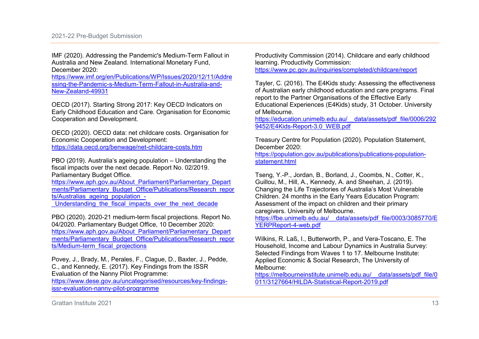IMF (2020). Addressing the Pandemic's Medium-Term Fallout in Australia and New Zealand. International Monetary Fund, December 2020:

[https://www.imf.org/en/Publications/WP/Issues/2020/12/11/Addre](https://www.imf.org/en/Publications/WP/Issues/2020/12/11/Addressing-the-Pandemic-s-Medium-Term-Fallout-in-Australia-and-New-Zealand-49931) [ssing-the-Pandemic-s-Medium-Term-Fallout-in-Australia-and-](https://www.imf.org/en/Publications/WP/Issues/2020/12/11/Addressing-the-Pandemic-s-Medium-Term-Fallout-in-Australia-and-New-Zealand-49931)[New-Zealand-49931](https://www.imf.org/en/Publications/WP/Issues/2020/12/11/Addressing-the-Pandemic-s-Medium-Term-Fallout-in-Australia-and-New-Zealand-49931)

OECD (2017). Starting Strong 2017: Key OECD Indicators on Early Childhood Education and Care. Organisation for Economic Cooperation and Development.

OECD (2020). OECD data: net childcare costs. Organisation for Economic Cooperation and Development:

<https://data.oecd.org/benwage/net-childcare-costs.htm>

PBO (2019). Australia's ageing population – Understanding the fiscal impacts over the next decade. Report No. 02/2019. Parliamentary Budget Office.

[https://www.aph.gov.au/About\\_Parliament/Parliamentary\\_Depart](https://www.aph.gov.au/About_Parliament/Parliamentary_Departments/Parliamentary_Budget_Office/Publications/Research_reports/Australias_ageing_population_-_Understanding_the_fiscal_impacts_over_the_next_decade) [ments/Parliamentary\\_Budget\\_Office/Publications/Research\\_repor](https://www.aph.gov.au/About_Parliament/Parliamentary_Departments/Parliamentary_Budget_Office/Publications/Research_reports/Australias_ageing_population_-_Understanding_the_fiscal_impacts_over_the_next_decade) ts/Australias\_ageing\_population -

Understanding the fiscal impacts over the next decade

PBO (2020). 2020-21 medium-term fiscal projections. Report No. 04/2020. Parliamentary Budget Office, 10 December 2020: [https://www.aph.gov.au/About\\_Parliament/Parliamentary\\_Depart](https://www.aph.gov.au/About_Parliament/Parliamentary_Departments/Parliamentary_Budget_Office/Publications/Research_reports/Medium-term_fiscal_projections) [ments/Parliamentary\\_Budget\\_Office/Publications/Research\\_repor](https://www.aph.gov.au/About_Parliament/Parliamentary_Departments/Parliamentary_Budget_Office/Publications/Research_reports/Medium-term_fiscal_projections) [ts/Medium-term\\_fiscal\\_projections](https://www.aph.gov.au/About_Parliament/Parliamentary_Departments/Parliamentary_Budget_Office/Publications/Research_reports/Medium-term_fiscal_projections) 

Povey, J., Brady, M., Perales, F., Clague, D., Baxter, J., Pedde, C., and Kennedy, E. (2017). Key Findings from the ISSR Evaluation of the Nanny Pilot Programme:

[https://www.dese.gov.au/uncategorised/resources/key-findings](https://www.dese.gov.au/uncategorised/resources/key-findings-issr-evaluation-nanny-pilot-programme)[issr-evaluation-nanny-pilot-programme](https://www.dese.gov.au/uncategorised/resources/key-findings-issr-evaluation-nanny-pilot-programme)

Productivity Commission (2014). Childcare and early childhood learning. Productivity Commission: <https://www.pc.gov.au/inquiries/completed/childcare/report>

Tayler, C. (2016). The E4Kids study: Assessing the effectiveness of Australian early childhood education and care programs. Final report to the Partner Organisations of the Effective Early Educational Experiences (E4Kids) study, 31 October. University of Melbourne.

[https://education.unimelb.edu.au/\\_\\_data/assets/pdf\\_file/0006/292](https://education.unimelb.edu.au/__data/assets/pdf_file/0006/2929452/E4Kids-Report-3.0_WEB.pdf) 9452/E4Kids-Report-3.0\_WEB.pdf

Treasury Centre for Population (2020). Population Statement, December 2020:

[https://population.gov.au/publications/publications-population](https://population.gov.au/publications/publications-population-statement.html)[statement.html](https://population.gov.au/publications/publications-population-statement.html)

Tseng, Y.-P., Jordan, B., Borland, J., Coombs, N., Cotter, K., Guillou, M., Hill, A., Kennedy, A. and Sheehan, J. (2019). Changing the Life Trajectories of Australia's Most Vulnerable Children. 24 months in the Early Years Education Program: Assessment of the impact on children and their primary caregivers. University of Melbourne. [https://fbe.unimelb.edu.au/\\_\\_data/assets/pdf\\_file/0003/3085770/E](https://fbe.unimelb.edu.au/__data/assets/pdf_file/0003/3085770/EYERPReport-4-web.pdf)

[YERPReport-4-web.pdf](https://fbe.unimelb.edu.au/__data/assets/pdf_file/0003/3085770/EYERPReport-4-web.pdf)

Wilkins, R. Laß, I., Butterworth, P., and Vera-Toscano, E. The Household, Income and Labour Dynamics in Australia Survey: Selected Findings from Waves 1 to 17. Melbourne Institute: Applied Economic & Social Research, The University of Melbourne:

[https://melbourneinstitute.unimelb.edu.au/\\_\\_data/assets/pdf\\_file/0](https://melbourneinstitute.unimelb.edu.au/__data/assets/pdf_file/0011/3127664/HILDA-Statistical-Report-2019.pdf) [011/3127664/HILDA-Statistical-Report-2019.pdf](https://melbourneinstitute.unimelb.edu.au/__data/assets/pdf_file/0011/3127664/HILDA-Statistical-Report-2019.pdf)